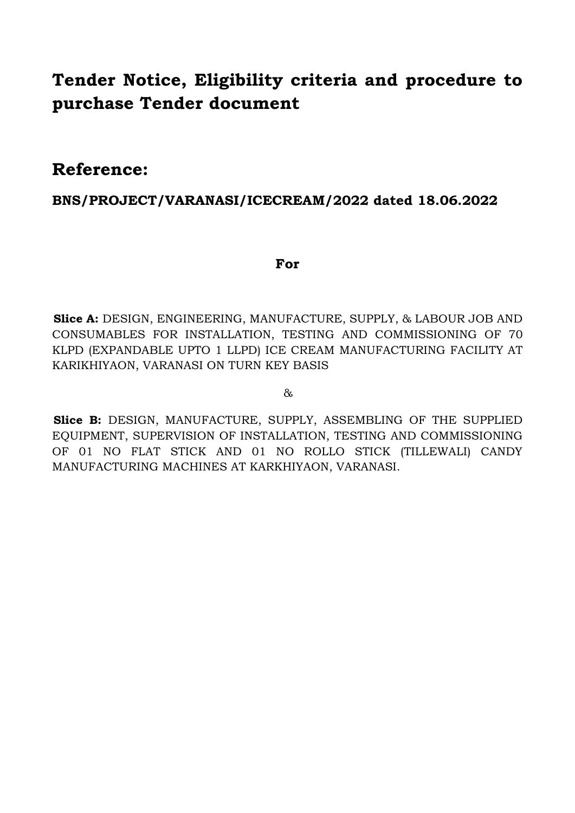# **Tender Notice, Eligibility criteria and procedure to purchase Tender document**

# **Reference:**

# **BNS/PROJECT/VARANASI/ICECREAM/2022 dated 18.06.2022**

# **For**

**Slice A:** DESIGN, ENGINEERING, MANUFACTURE, SUPPLY, & LABOUR JOB AND CONSUMABLES FOR INSTALLATION, TESTING AND COMMISSIONING OF 70 KLPD (EXPANDABLE UPTO 1 LLPD) ICE CREAM MANUFACTURING FACILITY AT KARIKHIYAON, VARANASI ON TURN KEY BASIS

## &

Slice B: DESIGN, MANUFACTURE, SUPPLY, ASSEMBLING OF THE SUPPLIED EQUIPMENT, SUPERVISION OF INSTALLATION, TESTING AND COMMISSIONING OF 01 NO FLAT STICK AND 01 NO ROLLO STICK (TILLEWALI) CANDY MANUFACTURING MACHINES AT KARKHIYAON, VARANASI.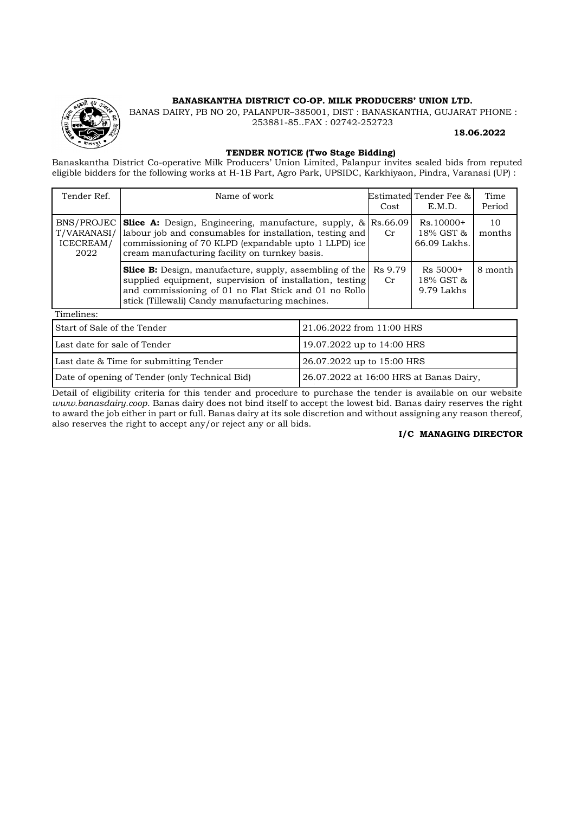#### **BANASKANTHA DISTRICT CO-OP. MILK PRODUCERS' UNION LTD.**

BANAS DAIRY, PB NO 20, PALANPUR–385001, DIST : BANASKANTHA, GUJARAT PHONE : 253881-85..FAX : 02742-252723

#### **18.06.2022**

#### **TENDER NOTICE (Two Stage Bidding)**

Banaskantha District Co-operative Milk Producers' Union Limited, Palanpur invites sealed bids from reputed eligible bidders for the following works at H-1B Part, Agro Park, UPSIDC, Karkhiyaon, Pindra, Varanasi (UP) :

| Tender Ref.                      | Name of work                                                                                                                                                                                                                                        | Cost | Estimated Tender Fee &<br>E.M.D.         | Time<br>Period |
|----------------------------------|-----------------------------------------------------------------------------------------------------------------------------------------------------------------------------------------------------------------------------------------------------|------|------------------------------------------|----------------|
| T/VARANASI/<br>ICECREAM/<br>2022 | BNS/PROJEC Solice A: Design, Engineering, manufacture, supply, $\&$ Rs.66.09<br>labour job and consumables for installation, testing and<br>commissioning of 70 KLPD (expandable upto 1 LLPD) ice<br>cream manufacturing facility on turnkey basis. | Cr   | $Rs.10000+$<br>18% GST &<br>66.09 Lakhs. | 10<br>months   |
|                                  | <b>Slice B:</b> Design, manufacture, supply, assembling of the Rs 9.79<br>supplied equipment, supervision of installation, testing<br>and commissioning of 01 no Flat Stick and 01 no Rollo<br>stick (Tillewali) Candy manufacturing machines.      | Cr   | $Rs 5000+$<br>18% GST &<br>9.79 Lakhs    | 8 month        |

Timelines:

| Start of Sale of the Tender                    | 21.06.2022 from 11:00 HRS               |
|------------------------------------------------|-----------------------------------------|
| Last date for sale of Tender                   | 19.07.2022 up to 14:00 HRS              |
| Last date & Time for submitting Tender         | 26.07.2022 up to 15:00 HRS              |
| Date of opening of Tender (only Technical Bid) | 26.07.2022 at 16:00 HRS at Banas Dairy, |

Detail of eligibility criteria for this tender and procedure to purchase the tender is available on our website *www.banasdairy.coop*. Banas dairy does not bind itself to accept the lowest bid. Banas dairy reserves the right to award the job either in part or full. Banas dairy at its sole discretion and without assigning any reason thereof, also reserves the right to accept any/or reject any or all bids.

#### **I/C MANAGING DIRECTOR**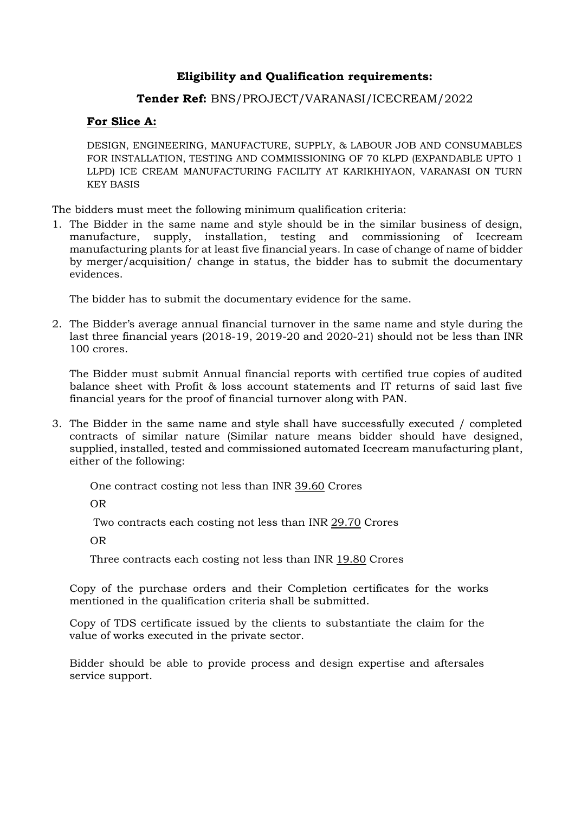# **Eligibility and Qualification requirements:**

## **Tender Ref:** BNS/PROJECT/VARANASI/ICECREAM/2022

## **For Slice A:**

DESIGN, ENGINEERING, MANUFACTURE, SUPPLY, & LABOUR JOB AND CONSUMABLES FOR INSTALLATION, TESTING AND COMMISSIONING OF 70 KLPD (EXPANDABLE UPTO 1 LLPD) ICE CREAM MANUFACTURING FACILITY AT KARIKHIYAON, VARANASI ON TURN KEY BASIS

The bidders must meet the following minimum qualification criteria:

1. The Bidder in the same name and style should be in the similar business of design, manufacture, supply, installation, testing and commissioning of Icecream manufacturing plants for at least five financial years. In case of change of name of bidder by merger/acquisition/ change in status, the bidder has to submit the documentary evidences.

The bidder has to submit the documentary evidence for the same.

2. The Bidder's average annual financial turnover in the same name and style during the last three financial years (2018-19, 2019-20 and 2020-21) should not be less than INR 100 crores.

The Bidder must submit Annual financial reports with certified true copies of audited balance sheet with Profit & loss account statements and IT returns of said last five financial years for the proof of financial turnover along with PAN.

3. The Bidder in the same name and style shall have successfully executed / completed contracts of similar nature (Similar nature means bidder should have designed, supplied, installed, tested and commissioned automated Icecream manufacturing plant, either of the following:

One contract costing not less than INR 39.60 Crores

OR

Two contracts each costing not less than INR 29.70 Crores

OR

Three contracts each costing not less than INR 19.80 Crores

Copy of the purchase orders and their Completion certificates for the works mentioned in the qualification criteria shall be submitted.

Copy of TDS certificate issued by the clients to substantiate the claim for the value of works executed in the private sector.

Bidder should be able to provide process and design expertise and aftersales service support.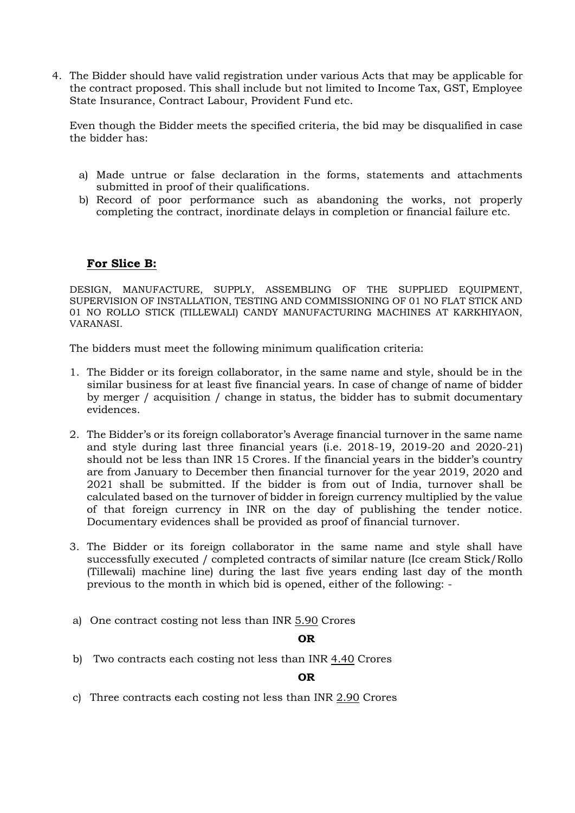4. The Bidder should have valid registration under various Acts that may be applicable for the contract proposed. This shall include but not limited to Income Tax, GST, Employee State Insurance, Contract Labour, Provident Fund etc.

Even though the Bidder meets the specified criteria, the bid may be disqualified in case the bidder has:

- a) Made untrue or false declaration in the forms, statements and attachments submitted in proof of their qualifications.
- b) Record of poor performance such as abandoning the works, not properly completing the contract, inordinate delays in completion or financial failure etc.

## **For Slice B:**

DESIGN, MANUFACTURE, SUPPLY, ASSEMBLING OF THE SUPPLIED EQUIPMENT, SUPERVISION OF INSTALLATION, TESTING AND COMMISSIONING OF 01 NO FLAT STICK AND 01 NO ROLLO STICK (TILLEWALI) CANDY MANUFACTURING MACHINES AT KARKHIYAON, VARANASI.

The bidders must meet the following minimum qualification criteria:

- 1. The Bidder or its foreign collaborator, in the same name and style, should be in the similar business for at least five financial years. In case of change of name of bidder by merger / acquisition / change in status, the bidder has to submit documentary evidences.
- 2. The Bidder's or its foreign collaborator's Average financial turnover in the same name and style during last three financial years (i.e. 2018-19, 2019-20 and 2020-21) should not be less than INR 15 Crores. If the financial years in the bidder's country are from January to December then financial turnover for the year 2019, 2020 and 2021 shall be submitted. If the bidder is from out of India, turnover shall be calculated based on the turnover of bidder in foreign currency multiplied by the value of that foreign currency in INR on the day of publishing the tender notice. Documentary evidences shall be provided as proof of financial turnover.
- 3. The Bidder or its foreign collaborator in the same name and style shall have successfully executed / completed contracts of similar nature (Ice cream Stick/Rollo (Tillewali) machine line) during the last five years ending last day of the month previous to the month in which bid is opened, either of the following: -
- a) One contract costing not less than INR 5.90 Crores

#### **OR**

b) Two contracts each costing not less than INR 4.40 Crores

**OR**

c) Three contracts each costing not less than INR 2.90 Crores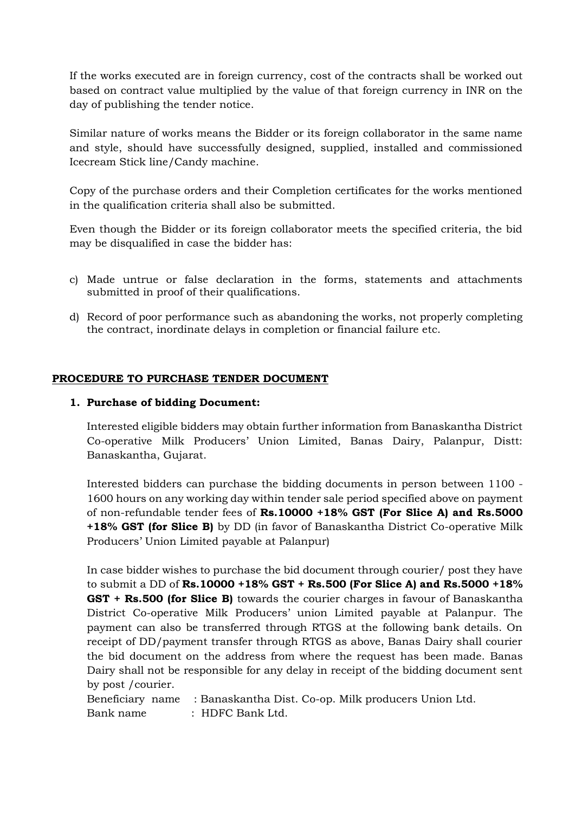If the works executed are in foreign currency, cost of the contracts shall be worked out based on contract value multiplied by the value of that foreign currency in INR on the day of publishing the tender notice.

Similar nature of works means the Bidder or its foreign collaborator in the same name and style, should have successfully designed, supplied, installed and commissioned Icecream Stick line/Candy machine.

Copy of the purchase orders and their Completion certificates for the works mentioned in the qualification criteria shall also be submitted.

Even though the Bidder or its foreign collaborator meets the specified criteria, the bid may be disqualified in case the bidder has:

- c) Made untrue or false declaration in the forms, statements and attachments submitted in proof of their qualifications.
- d) Record of poor performance such as abandoning the works, not properly completing the contract, inordinate delays in completion or financial failure etc.

## **PROCEDURE TO PURCHASE TENDER DOCUMENT**

#### **1. Purchase of bidding Document:**

Interested eligible bidders may obtain further information from Banaskantha District Co-operative Milk Producers' Union Limited, Banas Dairy, Palanpur, Distt: Banaskantha, Gujarat.

Interested bidders can purchase the bidding documents in person between 1100 - 1600 hours on any working day within tender sale period specified above on payment of non-refundable tender fees of **Rs.10000 +18% GST (For Slice A) and Rs.5000 +18% GST (for Slice B)** by DD (in favor of Banaskantha District Co-operative Milk Producers' Union Limited payable at Palanpur)

In case bidder wishes to purchase the bid document through courier/ post they have to submit a DD of **Rs.10000 +18% GST + Rs.500 (For Slice A) and Rs.5000 +18% GST + Rs.500 (for Slice B)** towards the courier charges in favour of Banaskantha District Co-operative Milk Producers' union Limited payable at Palanpur. The payment can also be transferred through RTGS at the following bank details. On receipt of DD/payment transfer through RTGS as above, Banas Dairy shall courier the bid document on the address from where the request has been made. Banas Dairy shall not be responsible for any delay in receipt of the bidding document sent by post /courier.

Beneficiary name : Banaskantha Dist. Co-op. Milk producers Union Ltd. Bank name : HDFC Bank Ltd.